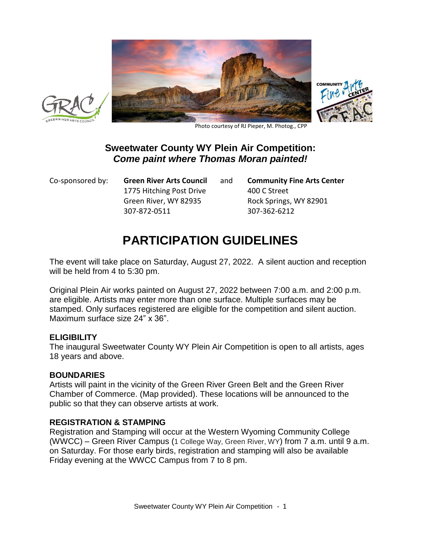





Photo courtesy of RJ Pieper, M. Photog., CPP

# **Sweetwater County WY Plein Air Competition:** *Come paint where Thomas Moran painted!*

Co-sponsored by: **Green River Arts Council** and **Community Fine Arts Center** 1775 Hitching Post Drive 400 C Street Green River, WY 82935 Rock Springs, WY 82901 307-872-0511 307-362-6212

# **PARTICIPATION GUIDELINES**

The event will take place on Saturday, August 27, 2022. A silent auction and reception will be held from 4 to 5:30 pm.

Original Plein Air works painted on August 27, 2022 between 7:00 a.m. and 2:00 p.m. are eligible. Artists may enter more than one surface. Multiple surfaces may be stamped. Only surfaces registered are eligible for the competition and silent auction. Maximum surface size 24" x 36".

## **ELIGIBILITY**

The inaugural Sweetwater County WY Plein Air Competition is open to all artists, ages 18 years and above.

## **BOUNDARIES**

Artists will paint in the vicinity of the Green River Green Belt and the Green River Chamber of Commerce. (Map provided). These locations will be announced to the public so that they can observe artists at work.

#### **REGISTRATION & STAMPING**

Registration and Stamping will occur at the Western Wyoming Community College (WWCC) – Green River Campus (1 College Way, Green River, WY) from 7 a.m. until 9 a.m. on Saturday. For those early birds, registration and stamping will also be available Friday evening at the WWCC Campus from 7 to 8 pm.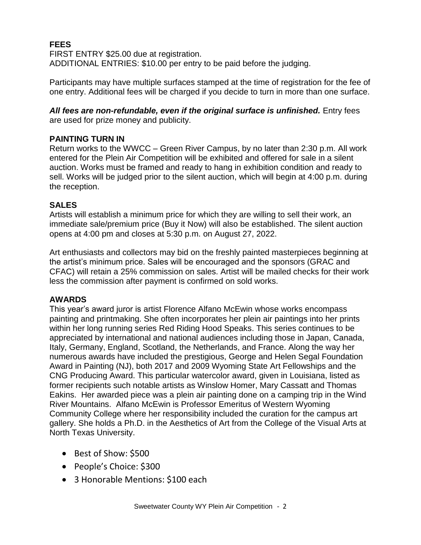# **FEES**

FIRST ENTRY \$25.00 due at registration. ADDITIONAL ENTRIES: \$10.00 per entry to be paid before the judging.

Participants may have multiple surfaces stamped at the time of registration for the fee of one entry. Additional fees will be charged if you decide to turn in more than one surface.

#### All fees are non-refundable, even if the original surface is unfinished. Entry fees are used for prize money and publicity.

## **PAINTING TURN IN**

Return works to the WWCC – Green River Campus, by no later than 2:30 p.m. All work entered for the Plein Air Competition will be exhibited and offered for sale in a silent auction. Works must be framed and ready to hang in exhibition condition and ready to sell. Works will be judged prior to the silent auction, which will begin at 4:00 p.m. during the reception.

# **SALES**

Artists will establish a minimum price for which they are willing to sell their work, an immediate sale/premium price (Buy it Now) will also be established. The silent auction opens at 4:00 pm and closes at 5:30 p.m. on August 27, 2022.

Art enthusiasts and collectors may bid on the freshly painted masterpieces beginning at the artist's minimum price. Sales will be encouraged and the sponsors (GRAC and CFAC) will retain a 25% commission on sales. Artist will be mailed checks for their work less the commission after payment is confirmed on sold works.

## **AWARDS**

This year's award juror is artist Florence Alfano McEwin whose works encompass painting and printmaking. She often incorporates her plein air paintings into her prints within her long running series Red Riding Hood Speaks. This series continues to be appreciated by international and national audiences including those in Japan, Canada, Italy, Germany, England, Scotland, the Netherlands, and France. Along the way her numerous awards have included the prestigious, George and Helen Segal Foundation Award in Painting (NJ), both 2017 and 2009 Wyoming State Art Fellowships and the CNG Producing Award. This particular watercolor award, given in Louisiana, listed as former recipients such notable artists as Winslow Homer, Mary Cassatt and Thomas Eakins. Her awarded piece was a plein air painting done on a camping trip in the Wind River Mountains. Alfano McEwin is Professor Emeritus of Western Wyoming Community College where her responsibility included the curation for the campus art gallery. She holds a Ph.D. in the Aesthetics of Art from the College of the Visual Arts at North Texas University.

- Best of Show: \$500
- People's Choice: \$300
- 3 Honorable Mentions: \$100 each